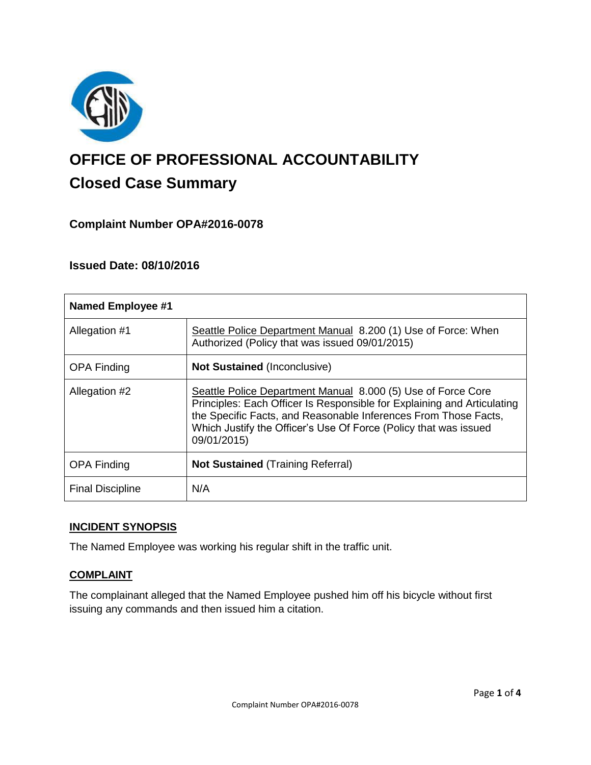

# **OFFICE OF PROFESSIONAL ACCOUNTABILITY Closed Case Summary**

# **Complaint Number OPA#2016-0078**

# **Issued Date: 08/10/2016**

| <b>Named Employee #1</b> |                                                                                                                                                                                                                                                                                               |
|--------------------------|-----------------------------------------------------------------------------------------------------------------------------------------------------------------------------------------------------------------------------------------------------------------------------------------------|
| Allegation #1            | Seattle Police Department Manual 8.200 (1) Use of Force: When<br>Authorized (Policy that was issued 09/01/2015)                                                                                                                                                                               |
| <b>OPA Finding</b>       | <b>Not Sustained (Inconclusive)</b>                                                                                                                                                                                                                                                           |
| Allegation #2            | Seattle Police Department Manual 8.000 (5) Use of Force Core<br>Principles: Each Officer Is Responsible for Explaining and Articulating<br>the Specific Facts, and Reasonable Inferences From Those Facts,<br>Which Justify the Officer's Use Of Force (Policy that was issued<br>09/01/2015) |
| <b>OPA Finding</b>       | <b>Not Sustained (Training Referral)</b>                                                                                                                                                                                                                                                      |
| <b>Final Discipline</b>  | N/A                                                                                                                                                                                                                                                                                           |

#### **INCIDENT SYNOPSIS**

The Named Employee was working his regular shift in the traffic unit.

#### **COMPLAINT**

The complainant alleged that the Named Employee pushed him off his bicycle without first issuing any commands and then issued him a citation.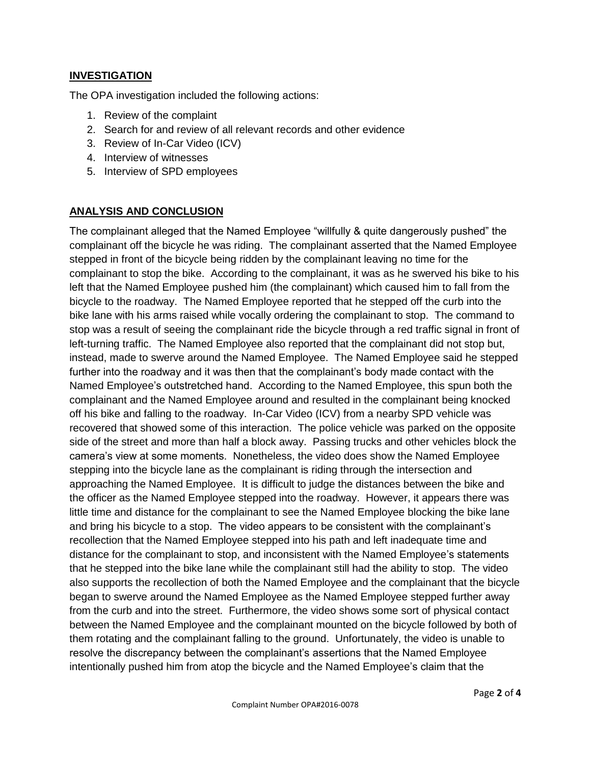# **INVESTIGATION**

The OPA investigation included the following actions:

- 1. Review of the complaint
- 2. Search for and review of all relevant records and other evidence
- 3. Review of In-Car Video (ICV)
- 4. Interview of witnesses
- 5. Interview of SPD employees

# **ANALYSIS AND CONCLUSION**

The complainant alleged that the Named Employee "willfully & quite dangerously pushed" the complainant off the bicycle he was riding. The complainant asserted that the Named Employee stepped in front of the bicycle being ridden by the complainant leaving no time for the complainant to stop the bike. According to the complainant, it was as he swerved his bike to his left that the Named Employee pushed him (the complainant) which caused him to fall from the bicycle to the roadway. The Named Employee reported that he stepped off the curb into the bike lane with his arms raised while vocally ordering the complainant to stop. The command to stop was a result of seeing the complainant ride the bicycle through a red traffic signal in front of left-turning traffic. The Named Employee also reported that the complainant did not stop but, instead, made to swerve around the Named Employee. The Named Employee said he stepped further into the roadway and it was then that the complainant's body made contact with the Named Employee's outstretched hand. According to the Named Employee, this spun both the complainant and the Named Employee around and resulted in the complainant being knocked off his bike and falling to the roadway. In-Car Video (ICV) from a nearby SPD vehicle was recovered that showed some of this interaction. The police vehicle was parked on the opposite side of the street and more than half a block away. Passing trucks and other vehicles block the camera's view at some moments. Nonetheless, the video does show the Named Employee stepping into the bicycle lane as the complainant is riding through the intersection and approaching the Named Employee. It is difficult to judge the distances between the bike and the officer as the Named Employee stepped into the roadway. However, it appears there was little time and distance for the complainant to see the Named Employee blocking the bike lane and bring his bicycle to a stop. The video appears to be consistent with the complainant's recollection that the Named Employee stepped into his path and left inadequate time and distance for the complainant to stop, and inconsistent with the Named Employee's statements that he stepped into the bike lane while the complainant still had the ability to stop. The video also supports the recollection of both the Named Employee and the complainant that the bicycle began to swerve around the Named Employee as the Named Employee stepped further away from the curb and into the street. Furthermore, the video shows some sort of physical contact between the Named Employee and the complainant mounted on the bicycle followed by both of them rotating and the complainant falling to the ground. Unfortunately, the video is unable to resolve the discrepancy between the complainant's assertions that the Named Employee intentionally pushed him from atop the bicycle and the Named Employee's claim that the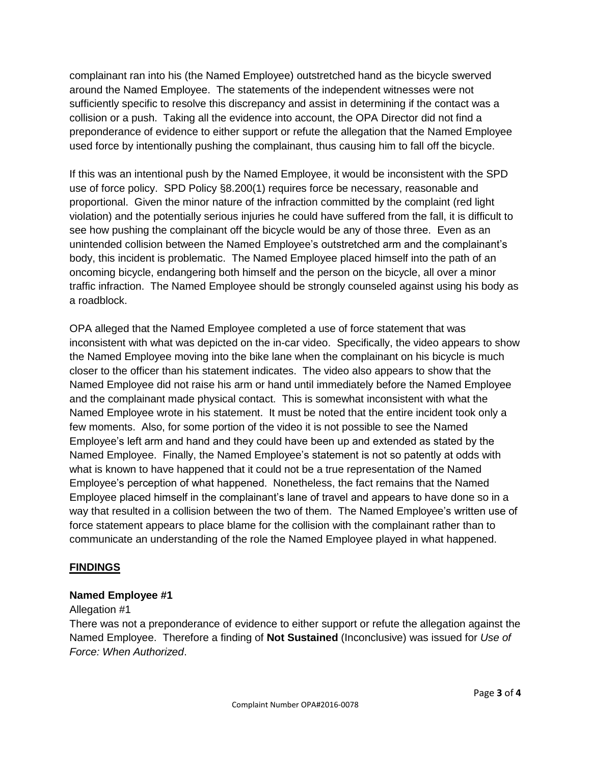complainant ran into his (the Named Employee) outstretched hand as the bicycle swerved around the Named Employee. The statements of the independent witnesses were not sufficiently specific to resolve this discrepancy and assist in determining if the contact was a collision or a push. Taking all the evidence into account, the OPA Director did not find a preponderance of evidence to either support or refute the allegation that the Named Employee used force by intentionally pushing the complainant, thus causing him to fall off the bicycle.

If this was an intentional push by the Named Employee, it would be inconsistent with the SPD use of force policy. SPD Policy §8.200(1) requires force be necessary, reasonable and proportional. Given the minor nature of the infraction committed by the complaint (red light violation) and the potentially serious injuries he could have suffered from the fall, it is difficult to see how pushing the complainant off the bicycle would be any of those three. Even as an unintended collision between the Named Employee's outstretched arm and the complainant's body, this incident is problematic. The Named Employee placed himself into the path of an oncoming bicycle, endangering both himself and the person on the bicycle, all over a minor traffic infraction. The Named Employee should be strongly counseled against using his body as a roadblock.

OPA alleged that the Named Employee completed a use of force statement that was inconsistent with what was depicted on the in-car video. Specifically, the video appears to show the Named Employee moving into the bike lane when the complainant on his bicycle is much closer to the officer than his statement indicates. The video also appears to show that the Named Employee did not raise his arm or hand until immediately before the Named Employee and the complainant made physical contact. This is somewhat inconsistent with what the Named Employee wrote in his statement. It must be noted that the entire incident took only a few moments. Also, for some portion of the video it is not possible to see the Named Employee's left arm and hand and they could have been up and extended as stated by the Named Employee. Finally, the Named Employee's statement is not so patently at odds with what is known to have happened that it could not be a true representation of the Named Employee's perception of what happened. Nonetheless, the fact remains that the Named Employee placed himself in the complainant's lane of travel and appears to have done so in a way that resulted in a collision between the two of them. The Named Employee's written use of force statement appears to place blame for the collision with the complainant rather than to communicate an understanding of the role the Named Employee played in what happened.

# **FINDINGS**

#### **Named Employee #1**

#### Allegation #1

There was not a preponderance of evidence to either support or refute the allegation against the Named Employee. Therefore a finding of **Not Sustained** (Inconclusive) was issued for *Use of Force: When Authorized*.